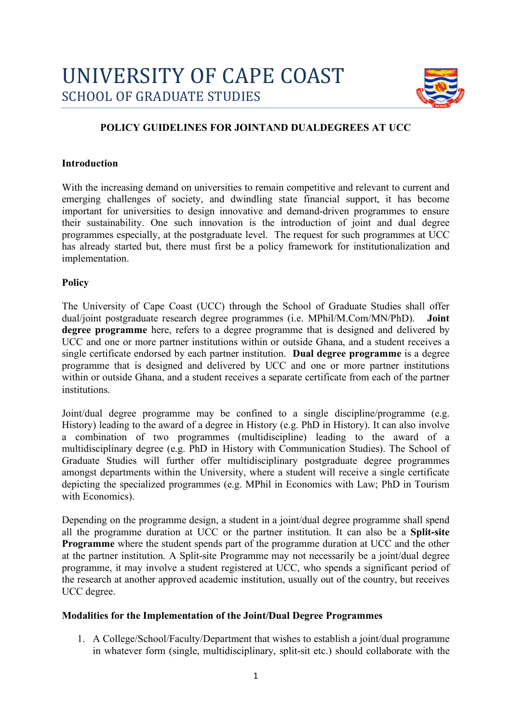

# **POLICY GUIDELINES FOR JOINTAND DUALDEGREES AT UCC**

#### **Introduction**

With the increasing demand on universities to remain competitive and relevant to current and emerging challenges of society, and dwindling state financial support, it has become important for universities to design innovative and demand-driven programmes to ensure their sustainability. One such innovation is the introduction of joint and dual degree programmes especially, at the postgraduate level. The request for such programmes at UCC has already started but, there must first be a policy framework for institutionalization and implementation.

### **Policy**

The University of Cape Coast (UCC) through the School of Graduate Studies shall offer dual/joint postgraduate research degree programmes (i.e. MPhil/M.Com/MN/PhD). **Joint degree programme** here, refers to a degree programme that is designed and delivered by UCC and one or more partner institutions within or outside Ghana, and a student receives a single certificate endorsed by each partner institution. **Dual degree programme** is a degree programme that is designed and delivered by UCC and one or more partner institutions within or outside Ghana, and a student receives a separate certificate from each of the partner institutions.

Joint/dual degree programme may be confined to a single discipline/programme (e.g. History) leading to the award of a degree in History (e.g. PhD in History). It can also involve a combination of two programmes (multidiscipline) leading to the award of a multidisciplinary degree (e.g. PhD in History with Communication Studies). The School of Graduate Studies will further offer multidisciplinary postgraduate degree programmes amongst departments within the University, where a student will receive a single certificate depicting the specialized programmes (e.g. MPhil in Economics with Law; PhD in Tourism with Economics).

Depending on the programme design, a student in a joint/dual degree programme shall spend all the programme duration at UCC or the partner institution. It can also be a **Split-site Programme** where the student spends part of the programme duration at UCC and the other at the partner institution. A Split-site Programme may not necessarily be a joint/dual degree programme, it may involve a student registered at UCC, who spends a significant period of the research at another approved academic institution, usually out of the country, but receives UCC degree.

### **Modalities for the Implementation of the Joint/Dual Degree Programmes**

1. A College/School/Faculty/Department that wishes to establish a joint/dual programme in whatever form (single, multidisciplinary, split-sit etc.) should collaborate with the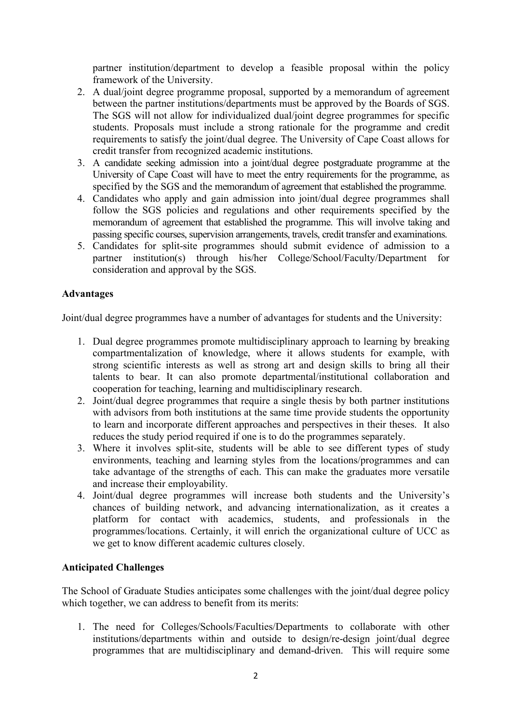partner institution/department to develop a feasible proposal within the policy framework of the University.

- 2. A dual/joint degree programme proposal, supported by a memorandum of agreement between the partner institutions/departments must be approved by the Boards of SGS. The SGS will not allow for individualized dual/joint degree programmes for specific students. Proposals must include a strong rationale for the programme and credit requirements to satisfy the joint/dual degree. The University of Cape Coast allows for credit transfer from recognized academic institutions.
- 3. A candidate seeking admission into a joint/dual degree postgraduate programme at the University of Cape Coast will have to meet the entry requirements for the programme, as specified by the SGS and the memorandum of agreement that established the programme.
- 4. Candidates who apply and gain admission into joint/dual degree programmes shall follow the SGS policies and regulations and other requirements specified by the memorandum of agreement that established the programme. This will involve taking and passing specific courses, supervision arrangements, travels, credit transfer and examinations.
- 5. Candidates for split-site programmes should submit evidence of admission to a partner institution(s) through his/her College/School/Faculty/Department for consideration and approval by the SGS.

## **Advantages**

Joint/dual degree programmes have a number of advantages for students and the University:

- 1. Dual degree programmes promote multidisciplinary approach to learning by breaking compartmentalization of knowledge, where it allows students for example, with strong scientific interests as well as strong art and design skills to bring all their talents to bear. It can also promote departmental/institutional collaboration and cooperation for teaching, learning and multidisciplinary research.
- 2. Joint/dual degree programmes that require a single thesis by both partner institutions with advisors from both institutions at the same time provide students the opportunity to learn and incorporate different approaches and perspectives in their theses. It also reduces the study period required if one is to do the programmes separately.
- 3. Where it involves split-site, students will be able to see different types of study environments, teaching and learning styles from the locations/programmes and can take advantage of the strengths of each. This can make the graduates more versatile and increase their employability.
- 4. Joint/dual degree programmes will increase both students and the University's chances of building network, and advancing internationalization, as it creates a platform for contact with academics, students, and professionals in the programmes/locations. Certainly, it will enrich the organizational culture of UCC as we get to know different academic cultures closely.

## **Anticipated Challenges**

The School of Graduate Studies anticipates some challenges with the joint/dual degree policy which together, we can address to benefit from its merits:

1. The need for Colleges/Schools/Faculties/Departments to collaborate with other institutions/departments within and outside to design/re-design joint/dual degree programmes that are multidisciplinary and demand-driven. This will require some